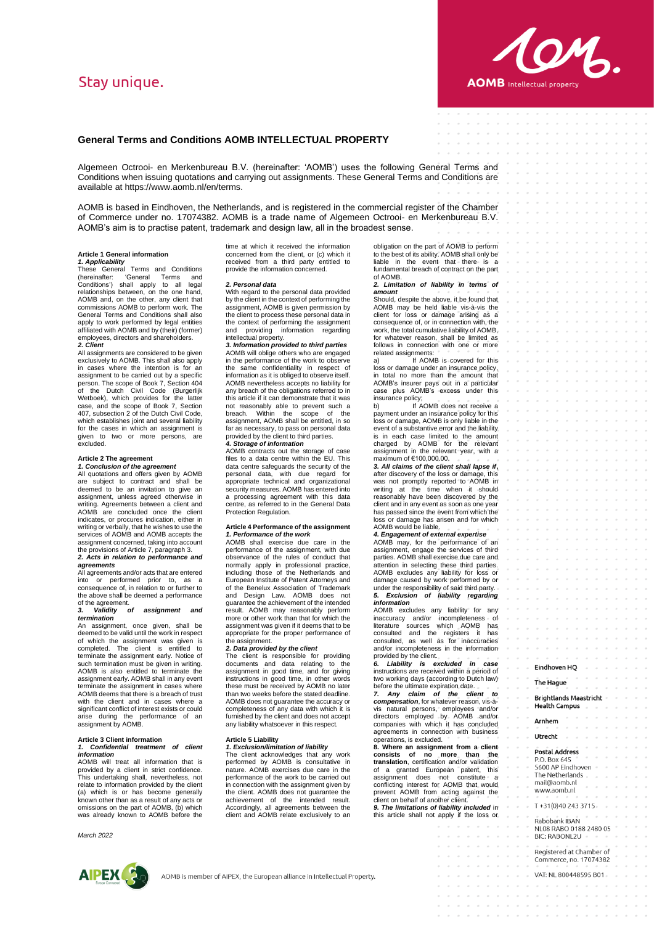# Stav unique.



# **General Terms and Conditions AOMB INTELLECTUAL PROPERTY**

Algemeen Octrooi- en Merkenbureau B.V. (hereinafter: 'AOMB') uses the following General Terms and Conditions when issuing quotations and carrying out assignments. These General Terms and Conditions are available at https://www.aomb.nl/en/terms.

AOMB is based in Eindhoven, the Netherlands, and is registered in the commercial register of the Chamber of Commerce under no. 17074382. AOMB is a trade name of Algemeen Octrooi- en Merkenbureau B.V. AOMB's aim is to practise patent, trademark and design law, all in the broadest sense.

#### **Article 1 General information**

*1. Applicability*  These General Terms and Conditions (hereinafter: 'General Terms and Conditions') shall apply to all legal relationships between, on the one hand, AOMB and, on the other, any client that commissions AOMB to perform work. The General Terms and Conditions shall also apply to work performed by legal entities affiliated with AOMB and by (their) (former) employees, directors and shareholders. *2. Client*

All assignments are considered to be given exclusively to AOMB. This shall also apply in cases where the intention is for an assignment to be carried out by a specific person. The scope of Book 7, Section 404 of the Dutch Civil Code (Burgerlijk Wetboek), which provides for the latter case, and the scope of Book 7, Section 407, subsection 2 of the Dutch Civil Code, which establishes joint and several liability for the cases in which an assignment is given to two or more persons, are excluded.

# **Article 2 The agreement**  *1. Conclusion of the agreement*

All quotations and offers given by AOMB are subject to contract and shall be deemed to be an invitation to give an assignment, unless agreed otherwise in writing. Agreements between a client and AOMB are concluded once the client indicates, or procures indication, either in writing or verbally, that he wishes to use the services of AOMB and AOMB accepts the assignment concerned, taking into account the provisions of Article 7, paragraph 3.

*2. Acts in relation to performance and agreements* 

All agreements and/or acts that are entered<br>into or performed prior to as a  $\check{\phantom{\phi}}$  or performed prior to, as a consequence of, in relation to or further to the above shall be deemed a performance

#### of the agreement.<br>3. Validity c *3. Validity of assignment and termination*

An assignment, once given, shall be deemed to be valid until the work in respect of which the assignment was given is completed. The client is entitled to terminate the assignment early. Notice of such termination must be given in writing. AOMB is also entitled to terminate the assignment early. AOMB shall in any event terminate the assignment in cases where AOMB deems that there is a breach of trust with the client and in cases where a significant conflict of interest exists or could arise during the performance of an assignment by AOMB.

# **Article 3 Client information**  *1. Confidential treatment of client information*

AOMB will treat all information that is provided by a client in strict confidence. This undertaking shall, nevertheless, not relate to information provided by the client (a) which is or has become generally known other than as a result of any acts or omissions on the part of AOMB, (b) which was already known to AOMB before the

*March 2022*



time at which it received the information concerned from the client, or (c) which it received from a third party entitled to provide the information concerned.

### *2. Personal data*

With regard to the personal data provided by the client in the context of performing the assignment, AOMB is given permission by the client to process these personal data in the context of performing the assignment and providing information regarding intellectual property. *3. Information provided to third parties* 

AOMB will oblige others who are engaged in the performance of the work to observe the same confidentiality in respect of information as it is obliged to observe itself. AOMB nevertheless accepts no liability for any breach of the obligations referred to in this article if it can demonstrate that it was not reasonably able to prevent such a breach. Within the scope of the assignment, AOMB shall be entitled, in so far as necessary, to pass on personal data provided by the client to third parties.

### *4. Storage of information*

AOMB contracts out the storage of case files to a data centre within the EU. This data centre safeguards the security of the personal data, with due regard for appropriate technical and organizational security measures. AOMB has entered into a processing agreement with this data centre, as referred to in the General Data Protection Regulation.

#### **Article 4 Performance of the assignment**  *1. Performance of the work*

AOMB shall exercise due care in the performance of the assignment, with due observance of the rules of conduct that normally apply in professional practice, including those of the Netherlands and European Institute of Patent Attorneys and of the Benelux Association of Trademark and Design Law. AOMB does not guarantee the achievement of the intended result. AOMB may reasonably perform more or other work than that for which the assignment was given if it deems that to be appropriate for the proper performance of assignment.

### *2. Data provided by the client*

The client is responsible for providing<br>documents and data relating to the<br>assignment in good time, and for giving<br>instructions in good time, in other words these must be received by AOMB no later than two weeks before the stated deadline. AOMB does not guarantee the accuracy or completeness of any data with which it is furnished by the client and does not accept any liability whatsoever in this respect.

# **Article 5 Liability**

*1. Exclusion/limitation of liability*  The client acknowledges that any work performed by AOMB is consultative in nature. AOMB exercises due care in the performance of the work to be carried out in connection with the assignment given by the client. AOMB does not guarantee the achievement of the intended result. Accordingly, all agreements between the client and AOMB relate exclusively to an

obligation on the part of AOMB to perform to the best of its ability. AOMB shall only be liable in the event that there is a fundamental breach of contract on the part of AOMB.

*2. Limitation of liability in terms of amount*

Should, despite the above, it be found that AOMB may be held liable vis-à-vis the client for loss or damage arising as a consequence of, or in connection with, the work, the total cumulative liability of AOMB, for whatever reason, shall be limited as follows in connection with one or more related assignments:

If AOMB is covered for this loss or damage under an insurance policy, in total no more than the amount that AOMB's insurer pays out in a particular case plus AOMB's excess under this insurance policy;<br>b) If AOMB does not receive a

b) If AOMB does not receive a<br>payment under an insurance policy for this<br>loss or damage, AOMB is only liable in the<br>event of a substantive error and the liability is in each case limited to the amount charged by AOMB for the relevant<br>assignment in the relevant year, with a<br>maximum of €100,000.00.<br>*3. All claims of the client shall lapse if***,** 

after discovery of the loss or damage, this was not promptly reported to AOMB in writing at the time when it should reasonably have been discovered by the client and in any event as soon as one year has passed since the event from which the loss or damage has arisen and for which AOMB would be liable.

*4. Engagement of external expertise* AOMB may, for the performance of an assignment, engage the services of third parties. AOMB shall exercise due care and attention in selecting these third parties. AOMB excludes any liability for loss or damage caused by work performed by or under the responsibility of said third party. *5. Exclusion of liability regarding* 

*information* anon<br>excludes any liability for any inaccuracy and/or incompleteness of literature sources which AOMB has consulted and the registers it has consulted, as well as for inaccuracies and/or incompleteness in the information provided by the client.

*6. Liability is excluded in case*  instructions are received within a period of two working days (according to Dutch law)

before the ultimate expiration date. *7. Any claim of the client to*  **compensation**, for whatever reason, vis-à-<br>vis natural persons, employees and/or<br>directors employed by AOMB and/or<br>companies with which it has concluded<br>agreements in connection with business operations, is excluded.

**8. Where an assignment from a client consists of no more than the translation**, certification and/or validation of a granted European patent, this assignment does not constitute a conflicting interest for AOMB that would prevent AOMB from acting against the client on behalf of another client. *9. The limitations of liability included* in

this article shall not apply if the loss or

# Eindhoven HO

# The Haque

**Brightlands Maastricht -Health Campus** 

**Arnhem** 

Utrecht

Postal Address P.O. Box 645<br>5600 AP Findhoven The Netherlands mail@aomh.nl www.aomb.nl

T+31(0)40 243 3715

Rabobank IBAN NL08 RABO 0188 2480 05 BIC: RABONL2U

Registered at Chamber of Commerce, no. 17074382

VAT: NL 800448595 B01

AOMB is member of AIPEX, the European alliance in Intellectual Property.